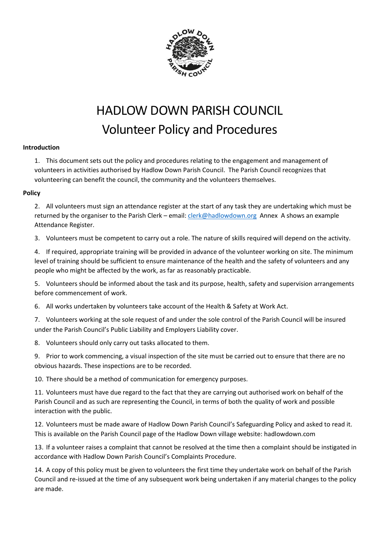

# HADLOW DOWN PARISH COUNCIL Volunteer Policy and Procedures

# **Introduction**

1. This document sets out the policy and procedures relating to the engagement and management of volunteers in activities authorised by Hadlow Down Parish Council. The Parish Council recognizes that volunteering can benefit the council, the community and the volunteers themselves.

# **Policy**

2. All volunteers must sign an attendance register at the start of any task they are undertaking which must be returned by the organiser to the Parish Clerk – email[: clerk@hadlowdown.org](mailto:clerk@hadlowdown.org) Annex A shows an example Attendance Register.

3. Volunteers must be competent to carry out a role. The nature of skills required will depend on the activity.

4. If required, appropriate training will be provided in advance of the volunteer working on site. The minimum level of training should be sufficient to ensure maintenance of the health and the safety of volunteers and any people who might be affected by the work, as far as reasonably practicable.

5. Volunteers should be informed about the task and its purpose, health, safety and supervision arrangements before commencement of work.

6. All works undertaken by volunteers take account of the Health & Safety at Work Act.

7. Volunteers working at the sole request of and under the sole control of the Parish Council will be insured under the Parish Council's Public Liability and Employers Liability cover.

8. Volunteers should only carry out tasks allocated to them.

9. Prior to work commencing, a visual inspection of the site must be carried out to ensure that there are no obvious hazards. These inspections are to be recorded.

10. There should be a method of communication for emergency purposes.

11. Volunteers must have due regard to the fact that they are carrying out authorised work on behalf of the Parish Council and as such are representing the Council, in terms of both the quality of work and possible interaction with the public.

12. Volunteers must be made aware of Hadlow Down Parish Council's Safeguarding Policy and asked to read it. This is available on the Parish Council page of the Hadlow Down village website: hadlowdown.com

13. If a volunteer raises a complaint that cannot be resolved at the time then a complaint should be instigated in accordance with Hadlow Down Parish Council's Complaints Procedure.

14. A copy of this policy must be given to volunteers the first time they undertake work on behalf of the Parish Council and re-issued at the time of any subsequent work being undertaken if any material changes to the policy are made.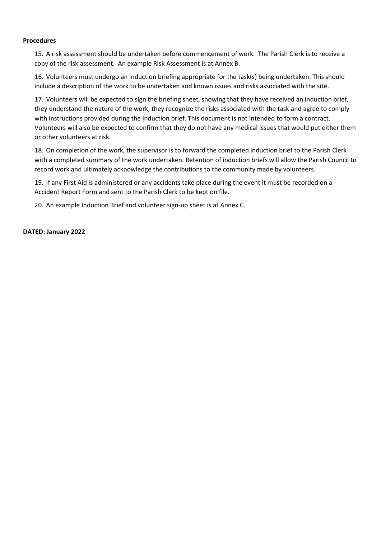#### **Procedures**

15. A risk assessment should be undertaken before commencement of work. The Parish Clerk is to receive a copy of the risk assessment. An example Risk Assessment is at Annex B.

16. Volunteers must undergo an induction briefing appropriate for the task(s) being undertaken. This should include a description of the work to be undertaken and known issues and risks associated with the site.

17. Volunteers will be expected to sign the briefing sheet, showing that they have received an induction brief, they understand the nature of the work, they recognize the risks associated with the task and agree to comply with instructions provided during the induction brief. This document is not intended to form a contract. Volunteers will also be expected to confirm that they do not have any medical issues that would put either them or other volunteers at risk.

18. On completion of the work, the supervisor is to forward the completed induction brief to the Parish Clerk with a completed summary of the work undertaken. Retention of induction briefs will allow the Parish Council to record work and ultimately acknowledge the contributions to the community made by volunteers.

19. If any First Aid is administered or any accidents take place during the event it must be recorded on a Accident Report Form and sent to the Parish Clerk to be kept on file.

20. An example Induction Brief and volunteer sign-up sheet is at Annex C.

#### **DATED: January 2022**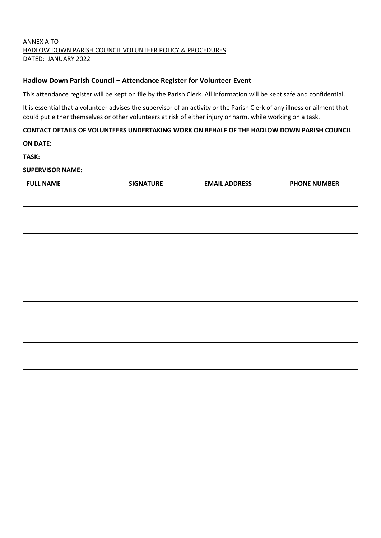# ANNEX A TO HADLOW DOWN PARISH COUNCIL VOLUNTEER POLICY & PROCEDURES DATED: JANUARY 2022

# **Hadlow Down Parish Council – Attendance Register for Volunteer Event**

This attendance register will be kept on file by the Parish Clerk. All information will be kept safe and confidential.

It is essential that a volunteer advises the supervisor of an activity or the Parish Clerk of any illness or ailment that could put either themselves or other volunteers at risk of either injury or harm, while working on a task.

## **CONTACT DETAILS OF VOLUNTEERS UNDERTAKING WORK ON BEHALF OF THE HADLOW DOWN PARISH COUNCIL**

**ON DATE:**

**TASK:**

#### **SUPERVISOR NAME:**

| <b>FULL NAME</b> | <b>SIGNATURE</b> | <b>EMAIL ADDRESS</b> | <b>PHONE NUMBER</b> |
|------------------|------------------|----------------------|---------------------|
|                  |                  |                      |                     |
|                  |                  |                      |                     |
|                  |                  |                      |                     |
|                  |                  |                      |                     |
|                  |                  |                      |                     |
|                  |                  |                      |                     |
|                  |                  |                      |                     |
|                  |                  |                      |                     |
|                  |                  |                      |                     |
|                  |                  |                      |                     |
|                  |                  |                      |                     |
|                  |                  |                      |                     |
|                  |                  |                      |                     |
|                  |                  |                      |                     |
|                  |                  |                      |                     |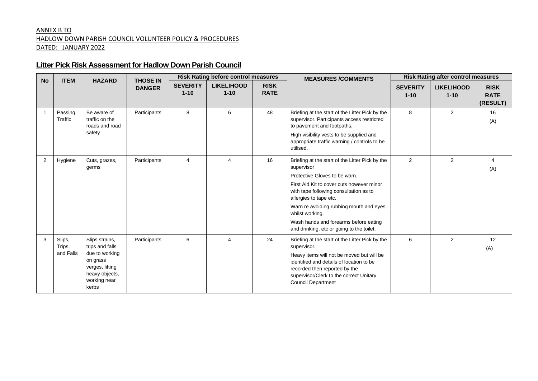## ANNEX B TO HADLOW DOWN PARISH COUNCIL VOLUNTEER POLICY & PROCEDURES DATED: JANUARY 2022

# **Litter Pick Risk Assessment for Hadlow Down Parish Council**

| <b>No</b>      | <b>ITEM</b>                   | <b>HAZARD</b>                                                                                                                 | <b>THOSE IN</b> | <b>Risk Rating before control measures</b> |                               | <b>MEASURES/COMMENTS</b>   | <b>Risk Rating after control measures</b>                                                                                                                                                                                                                                                                                                                           |                             |                               |                                        |
|----------------|-------------------------------|-------------------------------------------------------------------------------------------------------------------------------|-----------------|--------------------------------------------|-------------------------------|----------------------------|---------------------------------------------------------------------------------------------------------------------------------------------------------------------------------------------------------------------------------------------------------------------------------------------------------------------------------------------------------------------|-----------------------------|-------------------------------|----------------------------------------|
|                |                               |                                                                                                                               | <b>DANGER</b>   | <b>SEVERITY</b><br>$1 - 10$                | <b>LIKELIHOOD</b><br>$1 - 10$ | <b>RISK</b><br><b>RATE</b> |                                                                                                                                                                                                                                                                                                                                                                     | <b>SEVERITY</b><br>$1 - 10$ | <b>LIKELIHOOD</b><br>$1 - 10$ | <b>RISK</b><br><b>RATE</b><br>(RESULT) |
| $\overline{1}$ | Passing<br>Traffic            | Be aware of<br>traffic on the<br>roads and road<br>safety                                                                     | Participants    | 8                                          | 6                             | 48                         | Briefing at the start of the Litter Pick by the<br>supervisor. Participants access restricted<br>to pavement and footpaths.<br>High visibility vests to be supplied and<br>appropriate traffic warning / controls to be<br>utilised.                                                                                                                                | 8                           | $\overline{2}$                | 16<br>(A)                              |
| 2              | Hygiene                       | Cuts, grazes,<br>germs                                                                                                        | Participants    | 4                                          | 4                             | 16                         | Briefing at the start of the Litter Pick by the<br>supervisor<br>Protective Gloves to be warn.<br>First Aid Kit to cover cuts however minor<br>with tape following consultation as to<br>allergies to tape etc.<br>Warn re avoiding rubbing mouth and eyes<br>whilst working.<br>Wash hands and forearms before eating<br>and drinking, etc or going to the toilet. | 2                           | 2                             | 4<br>(A)                               |
| 3              | Slips,<br>Trips,<br>and Falls | Slips strains,<br>trips and falls<br>due to working<br>on grass<br>verges, lifting<br>heavy objects,<br>working near<br>kerbs | Participants    | 6                                          | 4                             | 24                         | Briefing at the start of the Litter Pick by the<br>supervisor.<br>Heavy items will not be moved but will be<br>identified and details of location to be<br>recorded then reported by the<br>supervisor/Clerk to the correct Unitary<br><b>Council Department</b>                                                                                                    | 6                           | $\overline{2}$                | 12<br>(A)                              |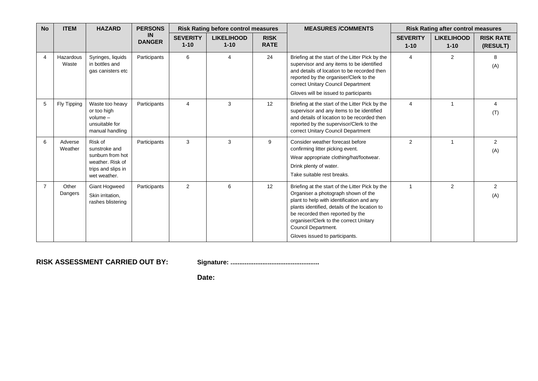| <b>No</b>      | <b>ITEM</b>        | <b>HAZARD</b>                                                                                          | <b>PERSONS</b>      | <b>Risk Rating before control measures</b> |                               | <b>MEASURES/COMMENTS</b><br><b>Risk Rating after control measures</b> |                                                                                                                                                                                                                                                                                                                             |                             |                               |                              |
|----------------|--------------------|--------------------------------------------------------------------------------------------------------|---------------------|--------------------------------------------|-------------------------------|-----------------------------------------------------------------------|-----------------------------------------------------------------------------------------------------------------------------------------------------------------------------------------------------------------------------------------------------------------------------------------------------------------------------|-----------------------------|-------------------------------|------------------------------|
|                |                    |                                                                                                        | IN<br><b>DANGER</b> | <b>SEVERITY</b><br>$1 - 10$                | <b>LIKELIHOOD</b><br>$1 - 10$ | <b>RISK</b><br><b>RATE</b>                                            |                                                                                                                                                                                                                                                                                                                             | <b>SEVERITY</b><br>$1 - 10$ | <b>LIKELIHOOD</b><br>$1 - 10$ | <b>RISK RATE</b><br>(RESULT) |
| 4              | Hazardous<br>Waste | Syringes, liquids<br>in bottles and<br>gas canisters etc                                               | Participants        | 6                                          | 4                             | 24                                                                    | Briefing at the start of the Litter Pick by the<br>supervisor and any items to be identified<br>and details of location to be recorded then<br>reported by the organiser/Clerk to the<br>correct Unitary Council Department<br>Gloves will be issued to participants                                                        | $\overline{4}$              | 2                             | 8<br>(A)                     |
| 5              | Fly Tipping        | Waste too heavy<br>or too high<br>$volume -$<br>unsuitable for<br>manual handling                      | Participants        | $\overline{4}$                             | 3                             | 12                                                                    | Briefing at the start of the Litter Pick by the<br>supervisor and any items to be identified<br>and details of location to be recorded then<br>reported by the supervisor/Clerk to the<br>correct Unitary Council Department                                                                                                | $\overline{4}$              | 1                             | 4<br>(T)                     |
| 6              | Adverse<br>Weather | Risk of<br>sunstroke and<br>sunburn from hot<br>weather. Risk of<br>trips and slips in<br>wet weather. | Participants        | 3                                          | 3                             | 9                                                                     | Consider weather forecast before<br>confirming litter picking event.<br>Wear appropriate clothing/hat/footwear.<br>Drink plenty of water.<br>Take suitable rest breaks.                                                                                                                                                     | 2                           | 1                             | $\overline{2}$<br>(A)        |
| $\overline{7}$ | Other<br>Dangers   | Giant Hogweed<br>Skin irritation,<br>rashes blistering                                                 | Participants        | 2                                          | 6                             | 12                                                                    | Briefing at the start of the Litter Pick by the<br>Organiser a photograph shown of the<br>plant to help with identification and any<br>plants identified, details of the location to<br>be recorded then reported by the<br>organiser/Clerk to the correct Unitary<br>Council Department.<br>Gloves issued to participants. | $\overline{1}$              | 2                             | $\overline{2}$<br>(A)        |

**RISK ASSESSMENT CARRIED OUT BY: Signature: ..................................................**

**Date:**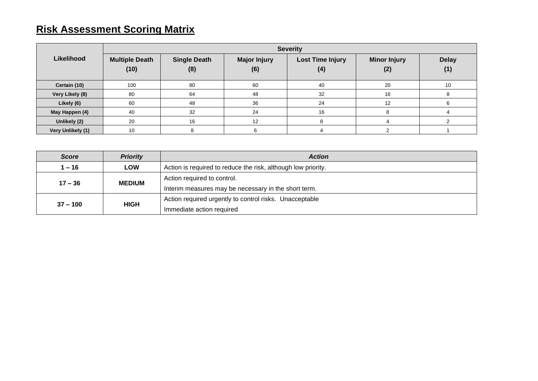# **Risk Assessment Scoring Matrix**

|                   | <b>Severity</b>               |                            |                            |                                |                            |                     |  |  |  |
|-------------------|-------------------------------|----------------------------|----------------------------|--------------------------------|----------------------------|---------------------|--|--|--|
| Likelihood        | <b>Multiple Death</b><br>(10) | <b>Single Death</b><br>(8) | <b>Major Injury</b><br>(6) | <b>Lost Time Injury</b><br>(4) | <b>Minor Injury</b><br>(2) | <b>Delay</b><br>(1) |  |  |  |
| Certain (10)      | 100                           | 80                         | 60                         | 40                             | 20                         | 10                  |  |  |  |
| Very Likely (8)   | 80                            | 64                         | 48                         | 32                             | 16                         | 8                   |  |  |  |
| Likely (6)        | 60                            | 48                         | 36                         | 24                             | 12                         | 6                   |  |  |  |
| May Happen (4)    | 40                            | 32                         | 24                         | 16                             | 8                          |                     |  |  |  |
| Unlikely (2)      | 20                            | 16                         | 12                         |                                |                            |                     |  |  |  |
| Very Unlikely (1) | 10                            |                            |                            |                                |                            |                     |  |  |  |

| <b>Score</b> | <b>Priority</b> | <b>Action</b>                                                 |  |
|--------------|-----------------|---------------------------------------------------------------|--|
| $1 - 16$     | <b>LOW</b>      | Action is required to reduce the risk, although low priority. |  |
| $17 - 36$    | <b>MEDIUM</b>   | Action required to control.                                   |  |
|              |                 | Interim measures may be necessary in the short term.          |  |
| $37 - 100$   | <b>HIGH</b>     | Action required urgently to control risks. Unacceptable       |  |
|              |                 | Immediate action required                                     |  |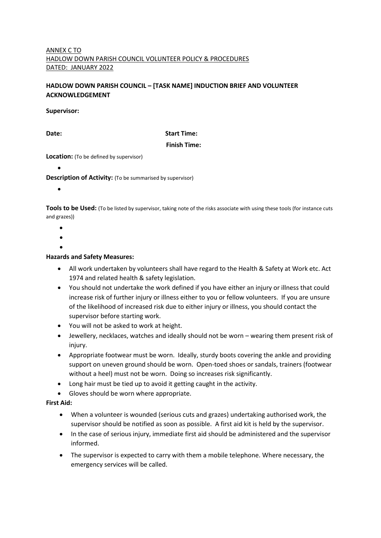#### ANNEX C TO HADLOW DOWN PARISH COUNCIL VOLUNTEER POLICY & PROCEDURES DATED: JANUARY 2022

# **HADLOW DOWN PARISH COUNCIL – [TASK NAME] INDUCTION BRIEF AND VOLUNTEER ACKNOWLEDGEMENT**

#### **Supervisor:**

#### **Date:** Start Time:

#### **Finish Time:**

**Location:** (To be defined by supervisor)

# •

**Description of Activity:** (To be summarised by supervisor)

•

**Tools to be Used:** (To be listed by supervisor, taking note of the risks associate with using these tools (for instance cuts and grazes))

- •
- •
- •

#### **Hazards and Safety Measures:**

- All work undertaken by volunteers shall have regard to the Health & Safety at Work etc. Act 1974 and related health & safety legislation.
- You should not undertake the work defined if you have either an injury or illness that could increase risk of further injury or illness either to you or fellow volunteers. If you are unsure of the likelihood of increased risk due to either injury or illness, you should contact the supervisor before starting work.
- You will not be asked to work at height.
- Jewellery, necklaces, watches and ideally should not be worn wearing them present risk of injury.
- Appropriate footwear must be worn. Ideally, sturdy boots covering the ankle and providing support on uneven ground should be worn. Open-toed shoes or sandals, trainers (footwear without a heel) must not be worn. Doing so increases risk significantly.
- Long hair must be tied up to avoid it getting caught in the activity.
- Gloves should be worn where appropriate.

#### **First Aid:**

- When a volunteer is wounded (serious cuts and grazes) undertaking authorised work, the supervisor should be notified as soon as possible. A first aid kit is held by the supervisor.
- In the case of serious injury, immediate first aid should be administered and the supervisor informed.
- The supervisor is expected to carry with them a mobile telephone. Where necessary, the emergency services will be called.